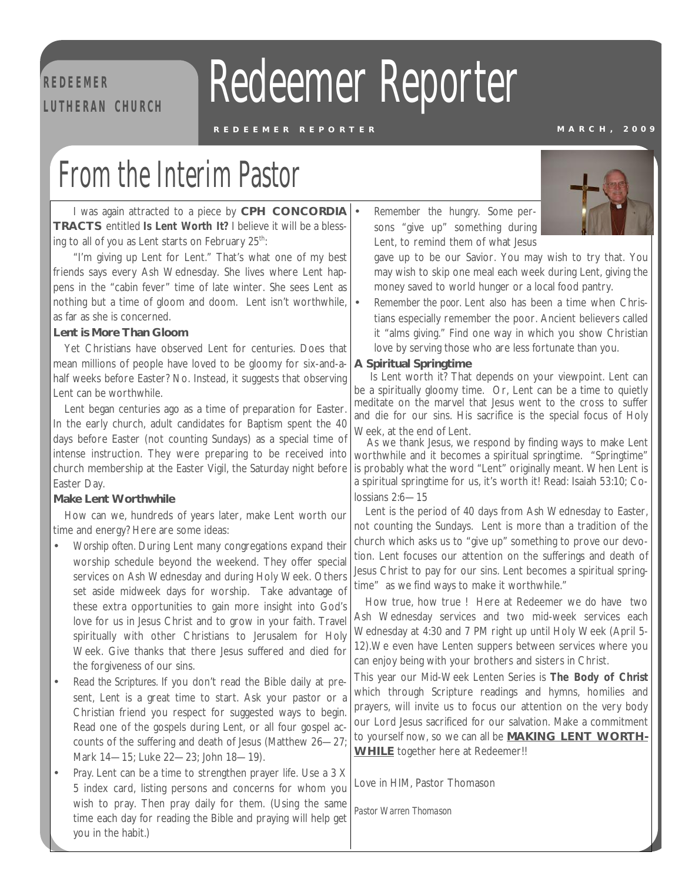# **R E D EE M ER**

# **REDEEMER Redeemer Reporter**

#### **R E D E E M E R R E P O R T E R M A R C H , 2009**

### From the Interim Pastor

I was again attracted to a piece by **CPH CONCORDIA TRACTS** entitled *Is Lent Worth It?* I believe it will be a blessing to all of you as Lent starts on February  $25^{th}$ .

"I'm giving up Lent for Lent." That's what one of my best friends says every Ash Wednesday. She lives where Lent happens in the "cabin fever" time of late winter. She sees Lent as nothing but a time of gloom and doom. Lent isn't worthwhile, as far as she is concerned.

#### **Lent is More Than Gloom**

Yet Christians have observed Lent for centuries. Does that mean millions of people have loved to be gloomy for six-and-ahalf weeks before Easter? No. Instead, it suggests that observing Lent can be worthwhile.

Lent began centuries ago as a time of preparation for Easter. In the early church, adult candidates for Baptism spent the 40 days before Easter (not counting Sundays) as a special time of intense instruction. They were preparing to be received into church membership at the Easter Vigil, the Saturday night before Easter Day.

#### **Make Lent Worthwhile**

How can we, hundreds of years later, make Lent worth our time and energy? Here are some ideas:

- *Worship often.* During Lent many congregations expand their worship schedule beyond the weekend. They offer special services on Ash Wednesday and during Holy Week. Others set aside midweek days for worship. Take advantage of these extra opportunities to gain more insight into God's love for us in Jesus Christ and to grow in your faith. Travel spiritually with other Christians to Jerusalem for Holy Week. Give thanks that there Jesus suffered and died for the forgiveness of our sins.
- *Read the Scriptures.* If you don't read the Bible daily at present, Lent is a great time to start. Ask your pastor or a Christian friend you respect for suggested ways to begin. Read one of the gospels during Lent, or all four gospel accounts of the suffering and death of Jesus (Matthew 26—27; Mark 14—15; Luke 22—23; John 18—19).
- *Pray.* Lent can be a time to strengthen prayer life. Use a 3 X 5 index card, listing persons and concerns for whom you wish to pray. Then pray daily for them. (Using the same time each day for reading the Bible and praying will help get you in the habit.)

• *Remember the hungry.* Some persons "give up" something during Lent, to remind them of what Jesus



gave up to be our Savior. You may wish to try that. You may wish to skip one meal each week during Lent, giving the money saved to world hunger or a local food pantry.

• *Remember the poor.* Lent also has been a time when Christians especially remember the poor. Ancient believers called it "alms giving." Find one way in which you show Christian love by serving those who are less fortunate than you.

#### **A Spiritual Springtime**

Is Lent worth it? That depends on your viewpoint. Lent can be a spiritually gloomy time. Or, Lent can be a time to quietly meditate on the marvel that Jesus went to the cross to suffer and die for our sins. His sacrifice is the special focus of Holy Week, at the end of Lent.

As we thank Jesus, we respond by finding ways to make Lent worthwhile and it becomes a spiritual springtime. "Springtime" is probably what the word "Lent" originally meant. When Lent is a spiritual springtime for us, it's worth it! Read: Isaiah 53:10; Colossians 2:6—15

Lent is the period of 40 days from Ash Wednesday to Easter, not counting the Sundays. Lent is more than a tradition of the church which asks us to "give up" something to prove our devotion. Lent focuses our attention on the sufferings and death of Jesus Christ to pay for our sins. Lent becomes a spiritual springtime" as we find ways to make it worthwhile."

How true, how true ! Here at Redeemer we do have two Ash Wednesday services and two mid-week services each Wednesday at 4:30 and 7 PM right up until Holy Week (April 5- 12).We even have Lenten suppers between services where you can enjoy being with your brothers and sisters in Christ.

This year our Mid-Week Lenten Series is *The Body of Christ*  which through Scripture readings and hymns, homilies and prayers, will invite us to focus our attention on the very body our Lord Jesus sacrificed for our salvation. Make a commitment to yourself now, so we can all be **MAKING LENT WORTH-WHILE** together here at Redeemer!!

Love in HIM, Pastor Thomason

*Pastor Warren Thomason*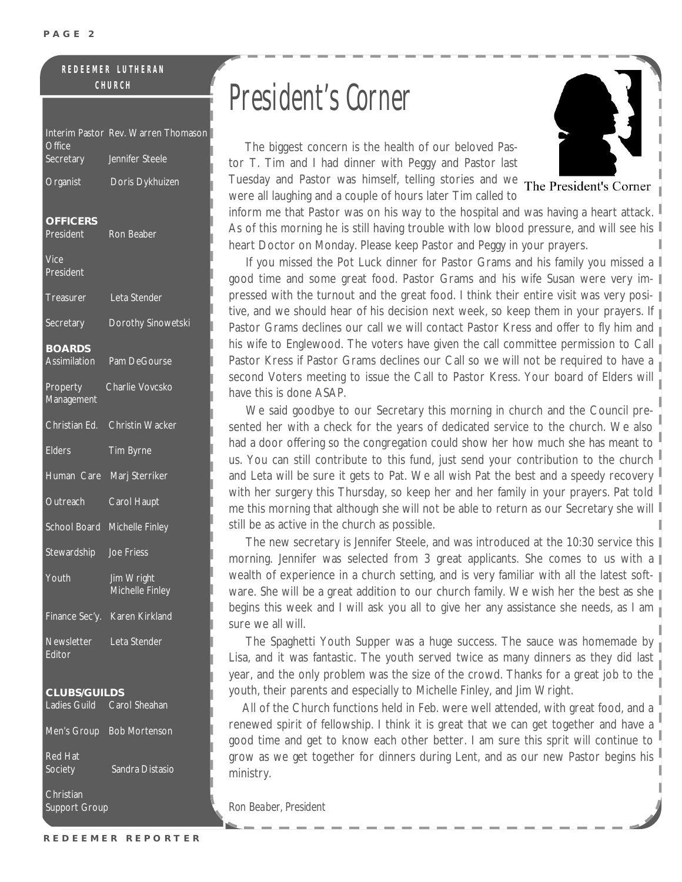#### **R E D E E M E R L U T H E R A N C H U R C H**

| <b>Office</b>                                     | Interim Pastor Rev. Warren Thomason |
|---------------------------------------------------|-------------------------------------|
| <b>Secretary</b>                                  | Jennifer Steele                     |
| Organist                                          | Doris Dykhuizen                     |
| <b>OFFICERS</b><br><b>President</b>               | Ron Beaber                          |
| $\overline{\mathsf{Vice}}$<br>President           |                                     |
| <b>Treasurer</b>                                  | Leta Stender                        |
| <b>Secretary</b>                                  | Dorothy Sinowetski                  |
| <b>BOARDS</b><br>Assimilation                     | Pam DeGourse                        |
| Property<br>Management                            | Charlie Vovcsko                     |
| Christian Ed.                                     | <b>Christin Wacker</b>              |
| <b>Elders</b>                                     | Tim Byrne                           |
| Human Care                                        | Marj Sterriker                      |
| Outreach                                          | Carol Haupt                         |
|                                                   | School Board Michelle Finley        |
| Stewardship                                       | Joe Friess                          |
| Youth                                             | Jim Wright<br>Michelle Finley       |
| Finance Sec'y.                                    | Karen Kirkland                      |
| Newsletter Leta Stender<br>Fditor                 |                                     |
| <b>CLUBS/GUILDS</b><br>Ladies Guild Carol Sheahan |                                     |
|                                                   | Men's Group Bob Mortenson           |
| <b>Red Hat</b><br>Society                         | Sandra Distasio                     |
| Christian<br>Support Group                        |                                     |

## President' s Corner

 The biggest concern is the health of our beloved Pastor T. Tim and I had dinner with Peggy and Pastor last Tuesday and Pastor was himself, telling stories and we The President's Corner



were all laughing and a couple of hours later Tim called to inform me that Pastor was on his way to the hospital and was having a heart attack. As of this morning he is still having trouble with low blood pressure, and will see his heart Doctor on Monday. Please keep Pastor and Peggy in your prayers.

If you missed the Pot Luck dinner for Pastor Grams and his family you missed a I good time and some great food. Pastor Grams and his wife Susan were very impressed with the turnout and the great food. I think their entire visit was very positive, and we should hear of his decision next week, so keep them in your prayers. If Pastor Grams declines our call we will contact Pastor Kress and offer to fly him and  $\mathbb{I}$ his wife to Englewood. The voters have given the call committee permission to Call Pastor Kress if Pastor Grams declines our Call so we will not be required to have a second Voters meeting to issue the Call to Pastor Kress. Your board of Elders will have this is done ASAP.

 We said goodbye to our Secretary this morning in church and the Council presented her with a check for the years of dedicated service to the church. We also had a door offering so the congregation could show her how much she has meant to us. You can still contribute to this fund, just send your contribution to the church and Leta will be sure it gets to Pat. We all wish Pat the best and a speedy recovery with her surgery this Thursday, so keep her and her family in your prayers. Pat told  $\mathbb I$ me this morning that although she will not be able to return as our Secretary she will still be as active in the church as possible.

The new secretary is Jennifer Steele, and was introduced at the 10:30 service this || morning. Jennifer was selected from 3 great applicants. She comes to us with a  $\mathbb I$ wealth of experience in a church setting, and is very familiar with all the latest software. She will be a great addition to our church family. We wish her the best as she  $\parallel$ begins this week and I will ask you all to give her any assistance she needs, as I am  $_{\parallel}$ sure we all will.

 The Spaghetti Youth Supper was a huge success. The sauce was homemade by Lisa, and it was fantastic. The youth served twice as many dinners as they did last year, and the only problem was the size of the crowd. Thanks for a great job to the youth, their parents and especially to Michelle Finley, and Jim Wright.

 All of the Church functions held in Feb. were well attended, with great food, and a renewed spirit of fellowship. I think it is great that we can get together and have a good time and get to know each other better. I am sure this sprit will continue to grow as we get together for dinners during Lent, and as our new Pastor begins his ministry.

*Ron Beaber, President*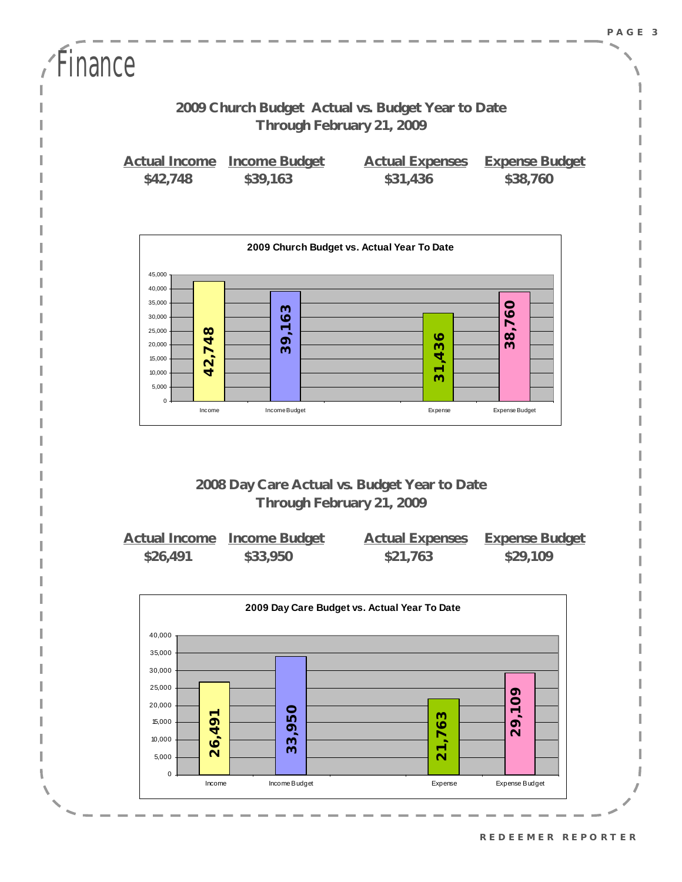| <b>Finance</b> |          |                                         |                                                                                |                                   |
|----------------|----------|-----------------------------------------|--------------------------------------------------------------------------------|-----------------------------------|
|                |          |                                         | 2009 Church Budget Actual vs. Budget Year to Date<br>Through February 21, 2009 |                                   |
|                | \$42,748 | Actual Income Income Budget<br>\$39,163 | <b>Actual Expenses</b><br>\$31,436                                             | <b>Expense Budget</b><br>\$38,760 |



#### **2008 Day Care Actual vs. Budget Year to Date Through February 21, 2009**

|          | Actual Income Income Budget | <b>Actual Expenses</b> | <b>Expense Budget</b> |
|----------|-----------------------------|------------------------|-----------------------|
| \$26,491 | \$33,950                    | \$21,763               | \$29,109              |

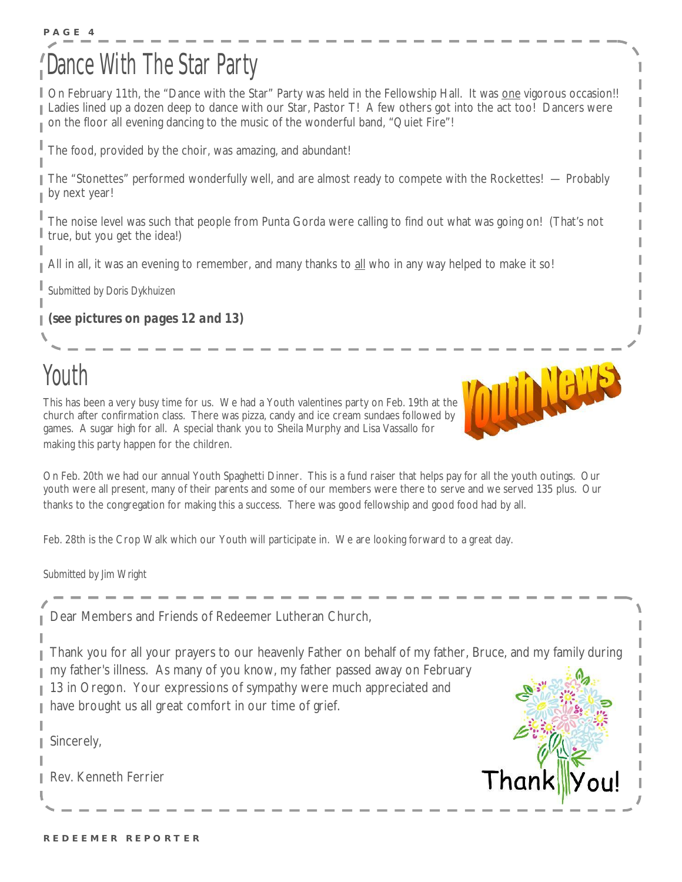### **P A G E 4**  ance With The Star Party

On February 11th, the "Dance with the Star" Party was held in the Fellowship Hall. It was one vigorous occasion!! L Ladies lined up a dozen deep to dance with our Star, Pastor T! A few others got into the act too! Dancers were on the floor all evening dancing to the music of the wonderful band, "Quiet Fire"!

The food, provided by the choir, was amazing, and abundant!

The "Stonettes" performed wonderfully well, and are almost ready to compete with the Rockettes! — Probably by next year!

The noise level was such that people from Punta Gorda were calling to find out what was going on! (That's not true, but you get the idea!)

All in all, it was an evening to remember, and many thanks to all who in any way helped to make it so!

*Submitted by Doris Dykhuizen* 

*(see pictures on pages 12 and 13)* 

### Youth

ı

This has been a very busy time for us. We had a Youth valentines party on Feb. 19th at the church after confirmation class. There was pizza, candy and ice cream sundaes followed by games. A sugar high for all. A special thank you to Sheila Murphy and Lisa Vassallo for making this party happen for the children.



THERE!

Feb. 28th is the Crop Walk which our Youth will participate in. We are looking forward to a great day.

*Submitted by Jim Wright* 

| I have brought us all great comfort in our time of grief.<br>Sincerely,<br>Rev. Kenneth Ferrier                                                                                                                                                                    | Thanl |
|--------------------------------------------------------------------------------------------------------------------------------------------------------------------------------------------------------------------------------------------------------------------|-------|
| Thank you for all your prayers to our heavenly Father on behalf of my father, Bruce, and my family during<br>■ my father's illness. As many of you know, my father passed away on February<br>13 in Oregon. Your expressions of sympathy were much appreciated and |       |
| Dear Members and Friends of Redeemer Lutheran Church,                                                                                                                                                                                                              |       |
|                                                                                                                                                                                                                                                                    |       |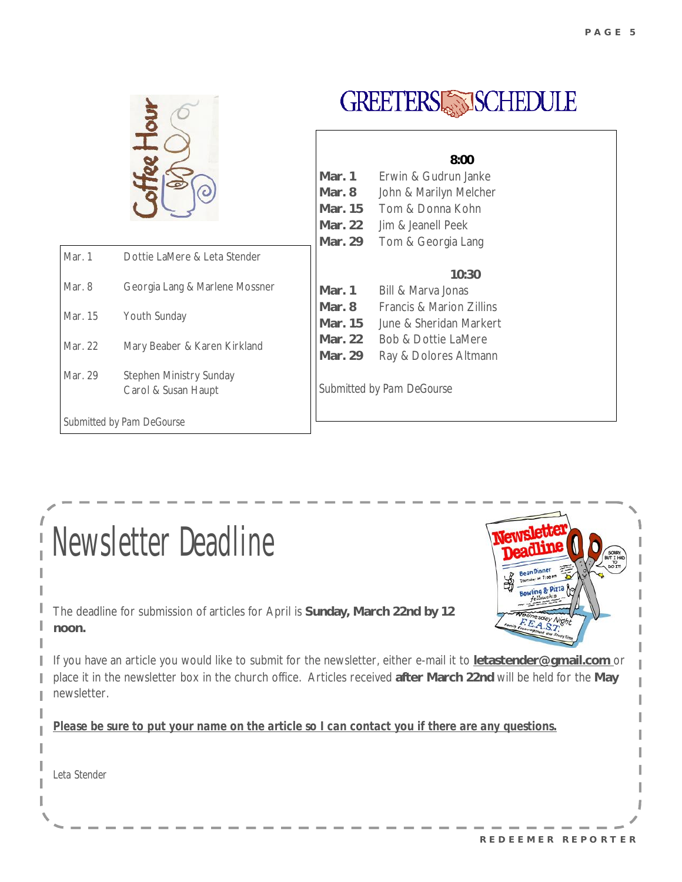

| <b>Newsletter Deadline</b>                                                                                                                                                                                                                          | <b>Lean Dinner</b> |
|-----------------------------------------------------------------------------------------------------------------------------------------------------------------------------------------------------------------------------------------------------|--------------------|
| The deadline for submission of articles for April is Sunday, March 22nd by 12<br>noon.                                                                                                                                                              |                    |
| If you have an article you would like to submit for the newsletter, either e-mail it to letastender@gmail.com or<br>place it in the newsletter box in the church office. Articles received after March 22nd will be held for the May<br>newsletter. |                    |
| Please be sure to put your name on the article so I can contact you if there are any questions.                                                                                                                                                     |                    |
| Leta Stender                                                                                                                                                                                                                                        |                    |
|                                                                                                                                                                                                                                                     |                    |

I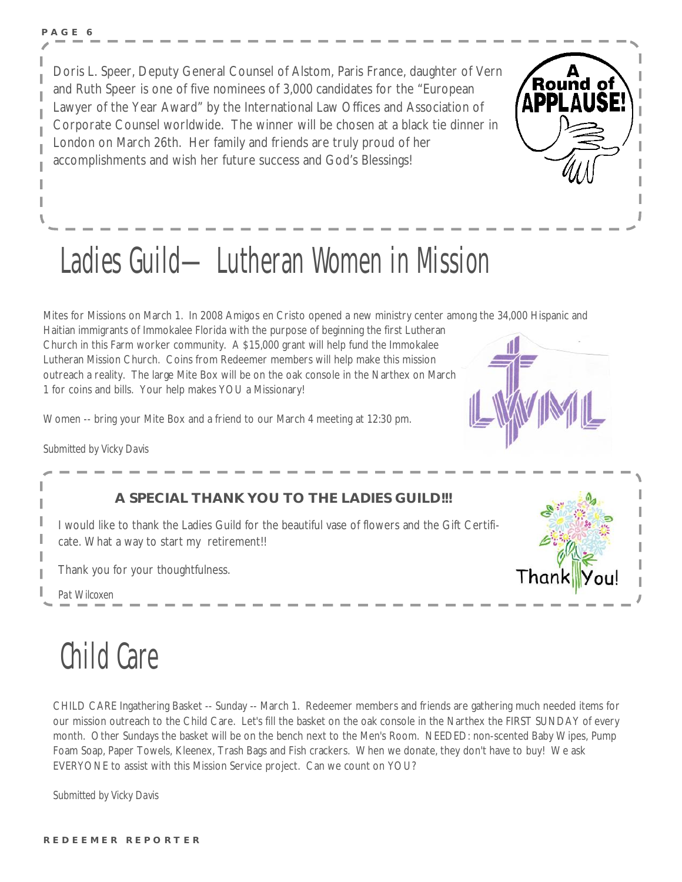Doris L. Speer, Deputy General Counsel of Alstom, Paris France, daughter of Vern and Ruth Speer is one of five nominees of 3,000 candidates for the "European Lawyer of the Year Award" by the International Law Offices and Association of Corporate Counsel worldwide. The winner will be chosen at a black tie dinner in London on March 26th. Her family and friends are truly proud of her accomplishments and wish her future success and God's Blessings!



# Ladies Guild—Lutheran Women in Mission

Mites for Missions on March 1. In 2008 Amigos en Cristo opened a new ministry center among the 34,000 Hispanic and

Haitian immigrants of Immokalee Florida with the purpose of beginning the first Lutheran Church in this Farm worker community. A \$15,000 grant will help fund the Immokalee Lutheran Mission Church. Coins from Redeemer members will help make this mission outreach a reality. The large Mite Box will be on the oak console in the Narthex on March 1 for coins and bills. Your help makes YOU a Missionary!

Women -- bring your Mite Box and a friend to our March 4 meeting at 12:30 pm.

*Submitted by Vicky Davis* 



#### **A SPECIAL THANK YOU TO THE LADIES GUILD!!!**

I would like to thank the Ladies Guild for the beautiful vase of flowers and the Gift Certificate. What a way to start my retirement!!

Thank you for your thoughtfulness.

*Pat Wilcoxen* 

## Child Care

CHILD CARE Ingathering Basket -- Sunday -- March 1. Redeemer members and friends are gathering much needed items for our mission outreach to the Child Care. Let's fill the basket on the oak console in the Narthex the FIRST SUNDAY of every month. Other Sundays the basket will be on the bench next to the Men's Room. NEEDED: non-scented Baby Wipes, Pump Foam Soap, Paper Towels, Kleenex, Trash Bags and Fish crackers. When we donate, they don't have to buy! We ask EVERYONE to assist with this Mission Service project. Can we count on YOU?

*Submitted by Vicky Davis*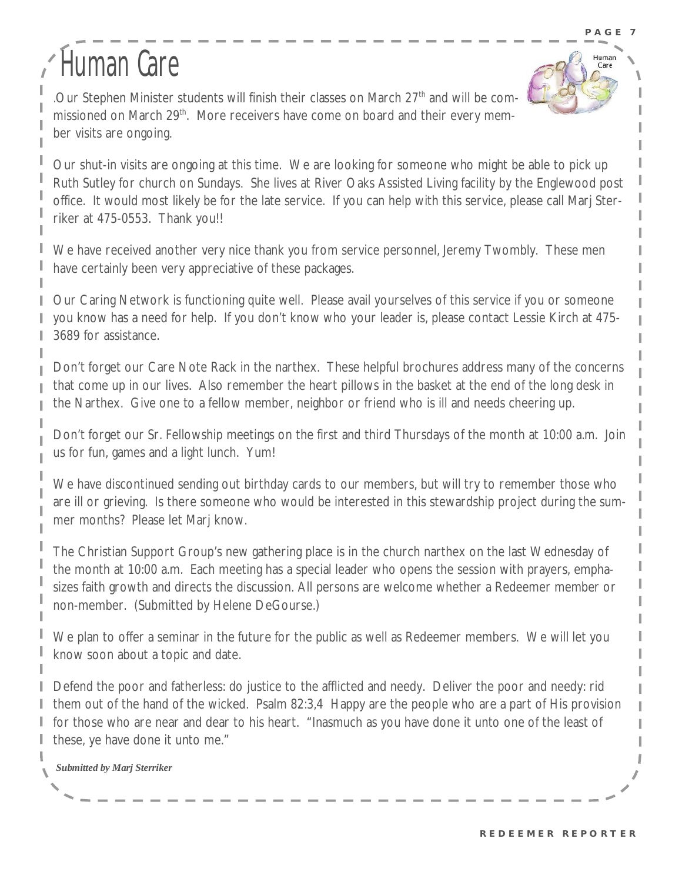Huma Care

# Human Care

.Our Stephen Minister students will finish their classes on March  $27<sup>th</sup>$  and will be commissioned on March 29<sup>th</sup>. More receivers have come on board and their every member visits are ongoing.

Our shut-in visits are ongoing at this time. We are looking for someone who might be able to pick up Ruth Sutley for church on Sundays. She lives at River Oaks Assisted Living facility by the Englewood post office. It would most likely be for the late service. If you can help with this service, please call Marj Sterriker at 475-0553. Thank you!!

We have received another very nice thank you from service personnel, Jeremy Twombly. These men have certainly been very appreciative of these packages.

Our Caring Network is functioning quite well. Please avail yourselves of this service if you or someone you know has a need for help. If you don't know who your leader is, please contact Lessie Kirch at 475- 3689 for assistance.

Don't forget our Care Note Rack in the narthex. These helpful brochures address many of the concerns that come up in our lives. Also remember the heart pillows in the basket at the end of the long desk in the Narthex. Give one to a fellow member, neighbor or friend who is ill and needs cheering up.

Don't forget our Sr. Fellowship meetings on the first and third Thursdays of the month at 10:00 a.m. Join us for fun, games and a light lunch. Yum!

We have discontinued sending out birthday cards to our members, but will try to remember those who are ill or grieving. Is there someone who would be interested in this stewardship project during the summer months? Please let Marj know.

The Christian Support Group's new gathering place is in the church narthex on the last Wednesday of the month at 10:00 a.m. Each meeting has a special leader who opens the session with prayers, emphasizes faith growth and directs the discussion. All persons are welcome whether a Redeemer member or non-member. (Submitted by Helene DeGourse.)

We plan to offer a seminar in the future for the public as well as Redeemer members. We will let you know soon about a topic and date.

Defend the poor and fatherless: do justice to the afflicted and needy. Deliver the poor and needy: rid them out of the hand of the wicked. Psalm 82:3,4 Happy are the people who are a part of His provision for those who are near and dear to his heart. "Inasmuch as you have done it unto one of the least of these, ye have done it unto me."

*Submitted by Marj Sterriker*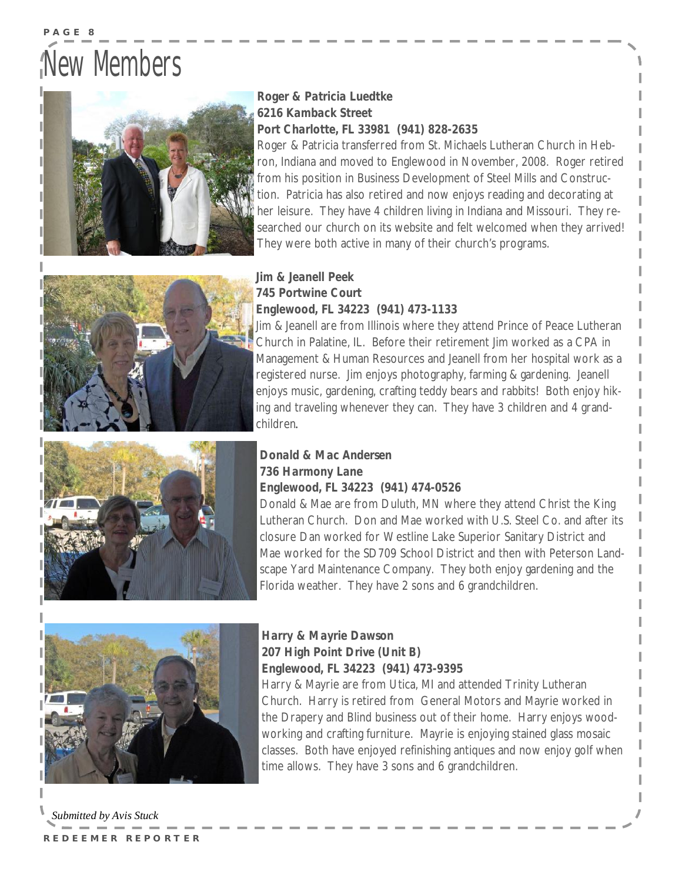## New Members



#### *Roger & Patricia Luedtke 6216 Kamback Street Port Charlotte, FL 33981 (941) 828-2635*

Roger & Patricia transferred from St. Michaels Lutheran Church in Hebron, Indiana and moved to Englewood in November, 2008. Roger retired from his position in Business Development of Steel Mills and Construction. Patricia has also retired and now enjoys reading and decorating at her leisure. They have 4 children living in Indiana and Missouri. They researched our church on its website and felt welcomed when they arrived! They were both active in many of their church's programs.



#### *Jim & Jeanell Peek 745 Portwine Court Englewood, FL 34223 (941) 473-1133*

Jim & Jeanell are from Illinois where they attend Prince of Peace Lutheran Church in Palatine, IL. Before their retirement Jim worked as a CPA in Management & Human Resources and Jeanell from her hospital work as a registered nurse. Jim enjoys photography, farming & gardening. Jeanell enjoys music, gardening, crafting teddy bears and rabbits! Both enjoy hiking and traveling whenever they can. They have 3 children and 4 grandchildren*.*



#### *Donald & Mac Andersen 736 Harmony Lane Englewood, FL 34223 (941) 474-0526*

Donald & Mae are from Duluth, MN where they attend Christ the King Lutheran Church. Don and Mae worked with U.S. Steel Co. and after its closure Dan worked for Westline Lake Superior Sanitary District and Mae worked for the SD709 School District and then with Peterson Landscape Yard Maintenance Company. They both enjoy gardening and the Florida weather. They have 2 sons and 6 grandchildren.



*Harry & Mayrie Dawson 207 High Point Drive (Unit B) Englewood, FL 34223 (941) 473-9395* 

Harry & Mayrie are from Utica, MI and attended Trinity Lutheran Church. Harry is retired from General Motors and Mayrie worked in the Drapery and Blind business out of their home. Harry enjoys woodworking and crafting furniture. Mayrie is enjoying stained glass mosaic classes. Both have enjoyed refinishing antiques and now enjoy golf when time allows. They have 3 sons and 6 grandchildren.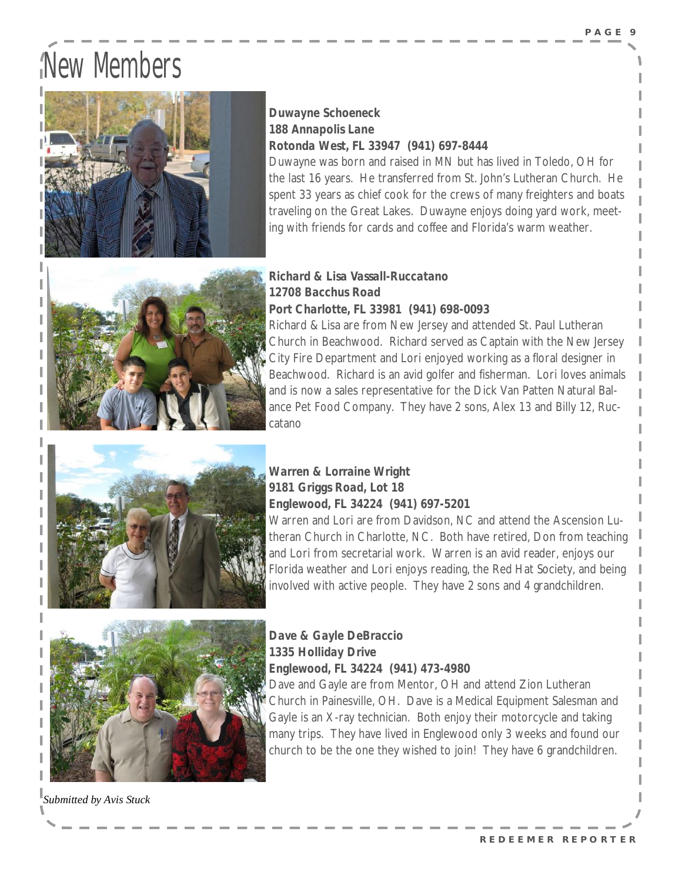# New Members



#### *Duwayne Schoeneck 188 Annapolis Lane Rotonda West, FL 33947 (941) 697-8444*

Duwayne was born and raised in MN but has lived in Toledo, OH for the last 16 years. He transferred from St. John's Lutheran Church. He spent 33 years as chief cook for the crews of many freighters and boats traveling on the Great Lakes. Duwayne enjoys doing yard work, meeting with friends for cards and coffee and Florida's warm weather.



#### *Richard & Lisa Vassall-Ruccatano 12708 Bacchus Road Port Charlotte, FL 33981 (941) 698-0093*

Richard & Lisa are from New Jersey and attended St. Paul Lutheran Church in Beachwood. Richard served as Captain with the New Jersey City Fire Department and Lori enjoyed working as a floral designer in Beachwood. Richard is an avid golfer and fisherman. Lori loves animals and is now a sales representative for the Dick Van Patten Natural Balance Pet Food Company. They have 2 sons, Alex 13 and Billy 12, Ruccatano



#### *Warren & Lorraine Wright 9181 Griggs Road, Lot 18 Englewood, FL 34224 (941) 697-5201*

Warren and Lori are from Davidson, NC and attend the Ascension Lutheran Church in Charlotte, NC. Both have retired, Don from teaching and Lori from secretarial work. Warren is an avid reader, enjoys our Florida weather and Lori enjoys reading, the Red Hat Society, and being involved with active people. They have 2 sons and 4 grandchildren.



*Dave & Gayle DeBraccio 1335 Holliday Drive Englewood, FL 34224 (941) 473-4980*  Dave and Gayle are from Mentor, OH and attend Zion Lutheran Church in Painesville, OH. Dave is a Medical Equipment Salesman and Gayle is an X-ray technician. Both enjoy their motorcycle and taking

many trips. They have lived in Englewood only 3 weeks and found our church to be the one they wished to join! They have 6 grandchildren.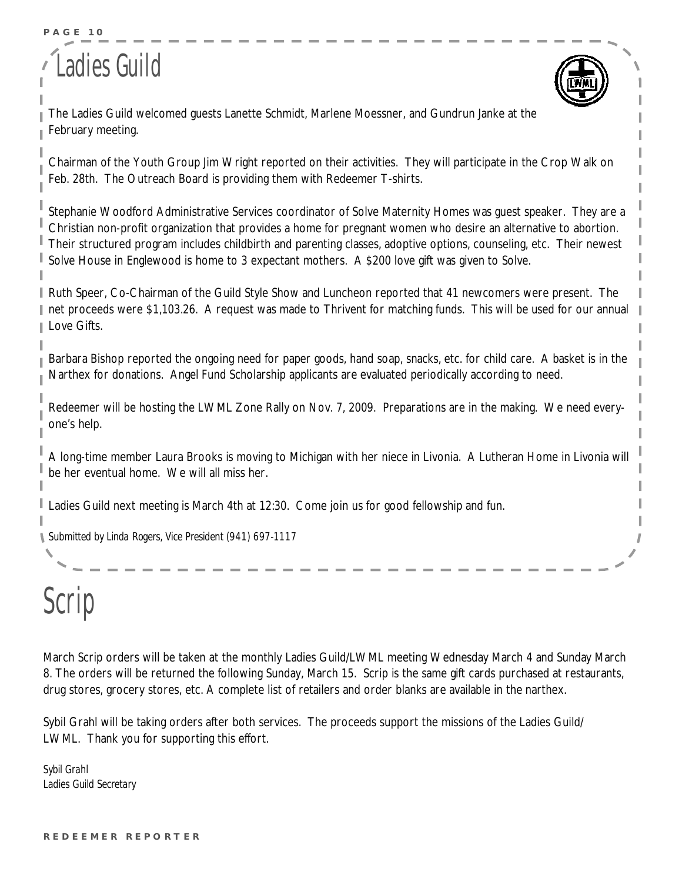#### **P A G E 10**

### Ladies Guild



The Ladies Guild welcomed guests Lanette Schmidt, Marlene Moessner, and Gundrun Janke at the February meeting.

Chairman of the Youth Group Jim Wright reported on their activities. They will participate in the Crop Walk on Feb. 28th. The Outreach Board is providing them with Redeemer T-shirts.

Stephanie Woodford Administrative Services coordinator of Solve Maternity Homes was guest speaker. They are a Christian non-profit organization that provides a home for pregnant women who desire an alternative to abortion. Their structured program includes childbirth and parenting classes, adoptive options, counseling, etc. Their newest Solve House in Englewood is home to 3 expectant mothers. A \$200 love gift was given to Solve.

Ruth Speer, Co-Chairman of the Guild Style Show and Luncheon reported that 41 newcomers were present. The net proceeds were \$1,103.26. A request was made to Thrivent for matching funds. This will be used for our annual Love Gifts.

Barbara Bishop reported the ongoing need for paper goods, hand soap, snacks, etc. for child care. A basket is in the Narthex for donations. Angel Fund Scholarship applicants are evaluated periodically according to need.

Redeemer will be hosting the LWML Zone Rally on Nov. 7, 2009. Preparations are in the making. We need everyone's help.

A long-time member Laura Brooks is moving to Michigan with her niece in Livonia. A Lutheran Home in Livonia will be her eventual home. We will all miss her.

Ladies Guild next meeting is March 4th at 12:30. Come join us for good fellowship and fun.

*Submitted by Linda Rogers, Vice President (941) 697-1117*

# Scrip

March Scrip orders will be taken at the monthly Ladies Guild/LWML meeting Wednesday March 4 and Sunday March 8. The orders will be returned the following Sunday, March 15. Scrip is the same gift cards purchased at restaurants, drug stores, grocery stores, etc. A complete list of retailers and order blanks are available in the narthex.

Sybil Grahl will be taking orders after both services. The proceeds support the missions of the Ladies Guild/ LWML. Thank you for supporting this effort.

*Sybil Grahl Ladies Guild Secretary*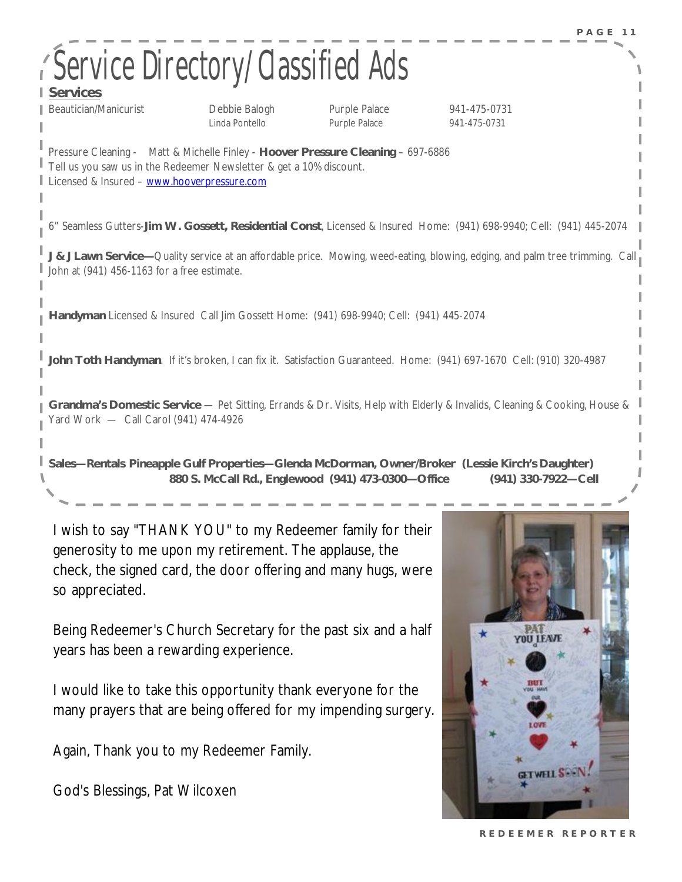| <b>Service Directory/Classified Ads</b><br><b>Services</b>                                                                                                                                             |                                                    |                                |                                                                                                                        |  |
|--------------------------------------------------------------------------------------------------------------------------------------------------------------------------------------------------------|----------------------------------------------------|--------------------------------|------------------------------------------------------------------------------------------------------------------------|--|
| Beautician/Manicurist                                                                                                                                                                                  | Debbie Balogh<br>Linda Pontello                    | Purple Palace<br>Purple Palace | 941-475-0731<br>941-475-0731                                                                                           |  |
| Pressure Cleaning - Matt & Michelle Finley - Hoover Pressure Cleaning - 697-6886<br>Tell us you saw us in the Redeemer Newsletter & get a 10% discount.<br>Licensed & Insured - www.hooverpressure.com |                                                    |                                |                                                                                                                        |  |
| 6" Seamless Gutters-Jim W. Gossett, Residential Const, Licensed & Insured Home: (941) 698-9940; Cell: (941) 445-2074                                                                                   |                                                    |                                |                                                                                                                        |  |
| J & J Lawn Service—Quality service at an affordable price. Mowing, weed-eating, blowing, edging, and palm tree trimming. Call<br>John at (941) 456-1163 for a free estimate.                           |                                                    |                                |                                                                                                                        |  |
| Handyman Licensed & Insured Call Jim Gossett Home: (941) 698-9940; Cell: (941) 445-2074                                                                                                                |                                                    |                                |                                                                                                                        |  |
| John Toth Handyman. If it's broken, I can fix it. Satisfaction Guaranteed. Home: (941) 697-1670 Cell: (910) 320-4987                                                                                   |                                                    |                                |                                                                                                                        |  |
| Grandma's Domestic Service — Pet Sitting, Errands & Dr. Visits, Help with Elderly & Invalids, Cleaning & Cooking, House &<br>Yard Work - Call Carol (941) 474-4926                                     |                                                    |                                |                                                                                                                        |  |
|                                                                                                                                                                                                        | 880 S. McCall Rd., Englewood (941) 473-0300-Office |                                | Sales-Rentals Pineapple Gulf Properties-Glenda McDorman, Owner/Broker (Lessie Kirch's Daughter)<br>(941) 330-7922-Cell |  |

I wish to say "THANK YOU" to my Redeemer family for their generosity to me upon my retirement. The applause, the check, the signed card, the door offering and many hugs, were so appreciated.

Being Redeemer's Church Secretary for the past six and a half years has been a rewarding experience.

I would like to take this opportunity thank everyone for the many prayers that are being offered for my impending surgery.

Again, Thank you to my Redeemer Family.

God's Blessings, Pat Wilcoxen



**R E D E E M E R R E P O R T E R**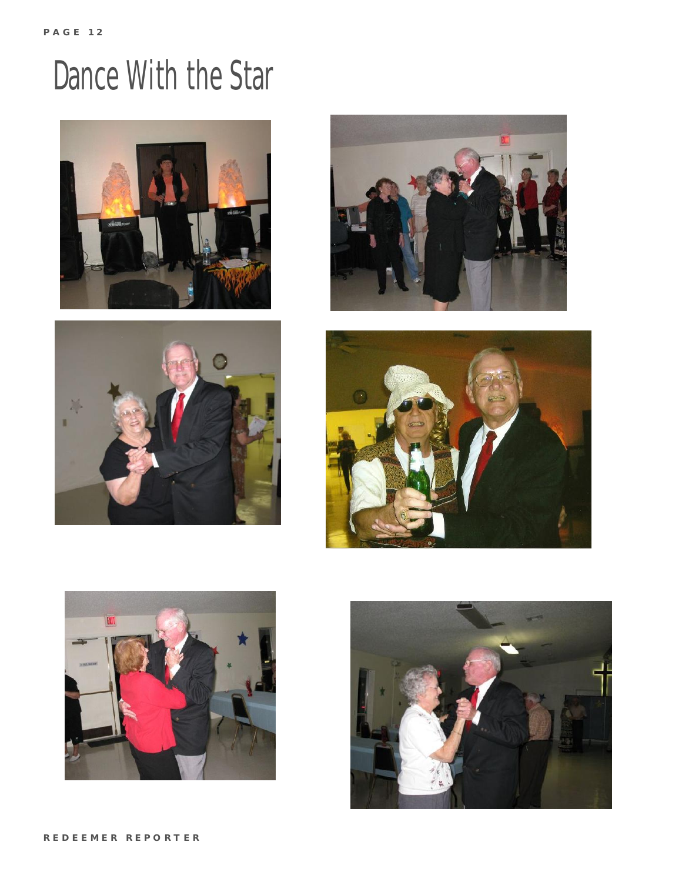# Dance With the Star











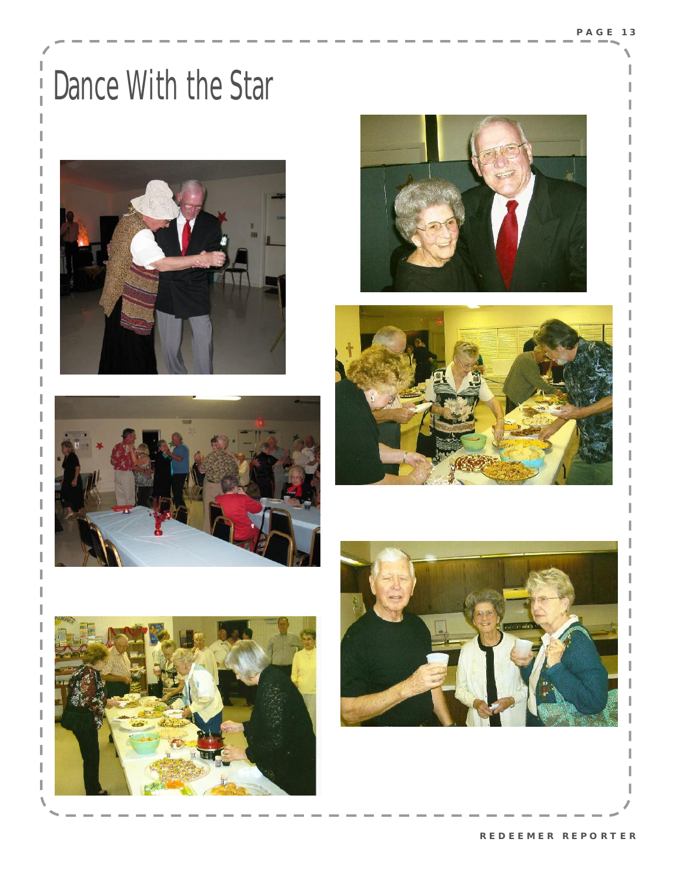# Dance With the Star

I

I











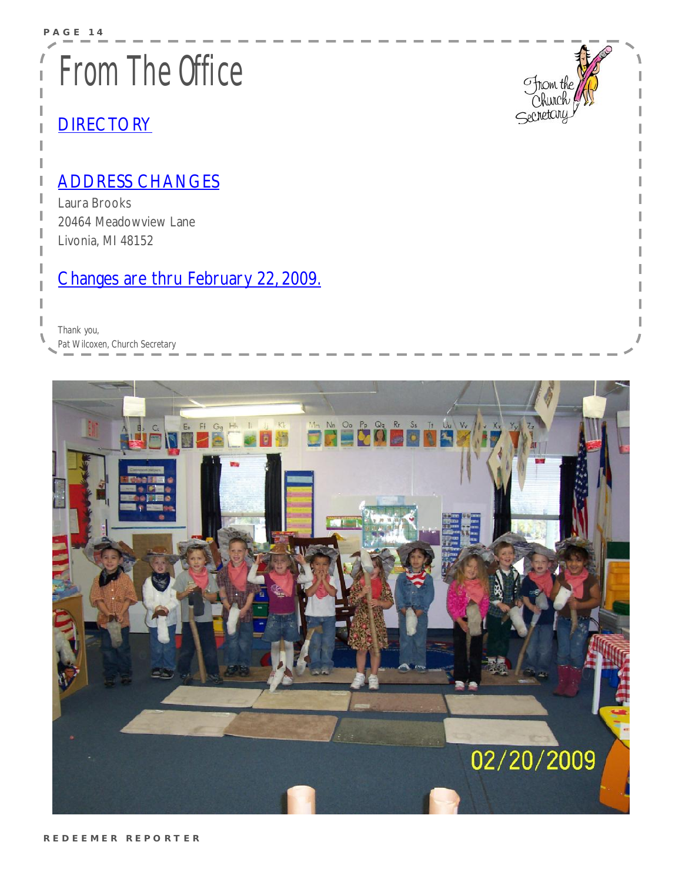# From The Office

### **DIRECTORY**

### ADDRESS CHANGES

Laura Brooks 20464 Meadowview Lane Livonia, MI 48152

### Changes are thru February 22, 2009.

*Thank you, Pat Wilcoxen, Church Secretary* 



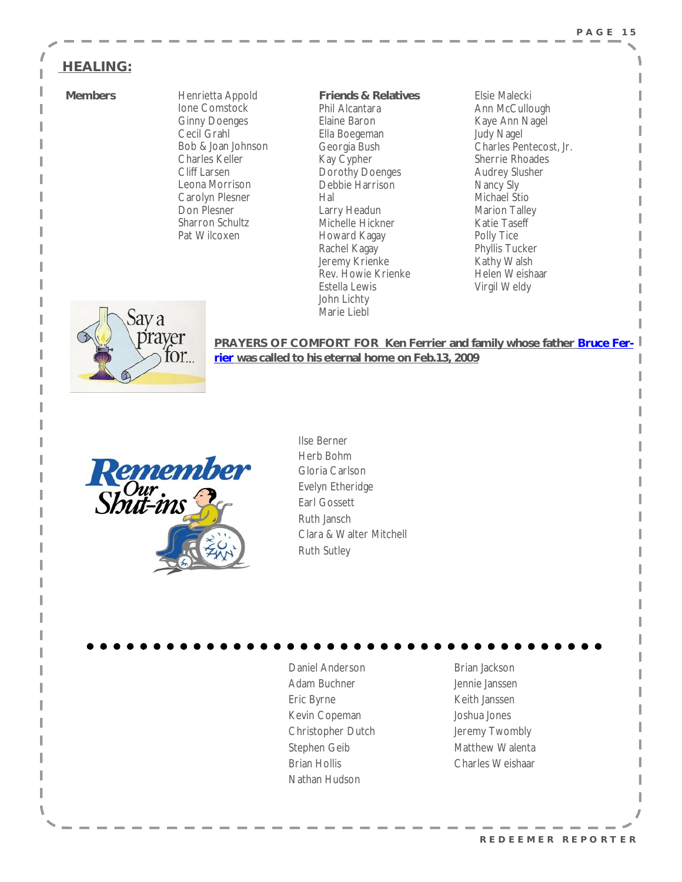#### **P A G E 1 5**

#### **HEALING:**

**Members Henrietta Appold** Ione Comstock Ginny Doenges Cecil Grahl Bob & Joan Johnson Charles Keller Cliff Larsen Leona Morrison Carolyn Plesner Don Plesner Sharron Schultz Pat Wilcoxen

**Friends & Relatives**  Phil Alcantara Elaine Baron Ella Boegeman Georgia Bush Kay Cypher Dorothy Doenges Debbie Harrison Hal Larry Headun Michelle Hickner Howard Kagay Rachel Kagay Jeremy Krienke Rev. Howie Krienke Estella Lewis John Lichty Marie Liebl

Elsie Malecki Ann McCullough Kaye Ann Nagel Judy Nagel Charles Pentecost, Jr. Sherrie Rhoades Audrey Slusher Nancy Sly Michael Stio Marion Talley Katie Taseff Polly Tice Phyllis Tucker Kathy Walsh Helen Weishaar Virgil Weldy



**PRAYERS OF COMFORT FOR Ken Ferrier and family whose father Bruce Ferrier was called to his eternal home on Feb.13, 2009**



Ilse Berner Herb Bohm Gloria Carlson Evelyn Etheridge Earl Gossett Ruth Jansch Clara & Walter Mitchell Ruth Sutley

Daniel Anderson Adam Buchner Eric Byrne Kevin Copeman Christopher Dutch Stephen Geib Brian Hollis Nathan Hudson

Brian Jackson Jennie Janssen Keith Janssen Joshua Jones Jeremy Twombly Matthew Walenta Charles Weishaar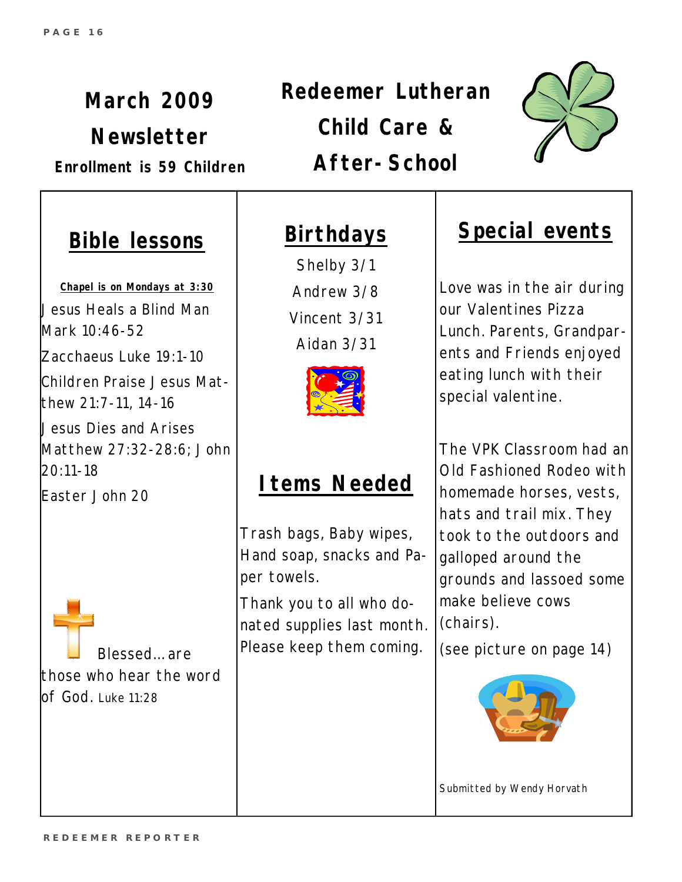*March 2009 Newsletter Enrollment is 59 Children*  *Redeemer Lutheran Child Care & After-School*



### **Bible lessons**

**Chapel is on Mondays at 3:30** Jesus Heals a Blind Man Mark 10:46-52 Zacchaeus Luke 19:1-10 Children Praise Jesus Matthew 21:7-11, 14-16 Jesus Dies and Arises Matthew 27:32-28:6; John 20:11-18

Easter John 20

Blessed… are those who hear the word of God. Luke 11:28

### **Birthdays**

Shelby 3/1 Andrew 3/8 Vincent 3/31 Aidan 3/31



### **Items Needed**

Trash bags, Baby wipes, Hand soap, snacks and Paper towels.

Thank you to all who donated supplies last month. Please keep them coming.

### **Special events**

Love was in the air during our Valentines Pizza Lunch. Parents, Grandparents and Friends enjoyed eating lunch with their special valentine.

The VPK Classroom had an Old Fashioned Rodeo with homemade horses, vests, hats and trail mix. They took to the outdoors and galloped around the grounds and lassoed some make believe cows (chairs).

(see picture on page 14)



*Submitted by Wendy Horvath*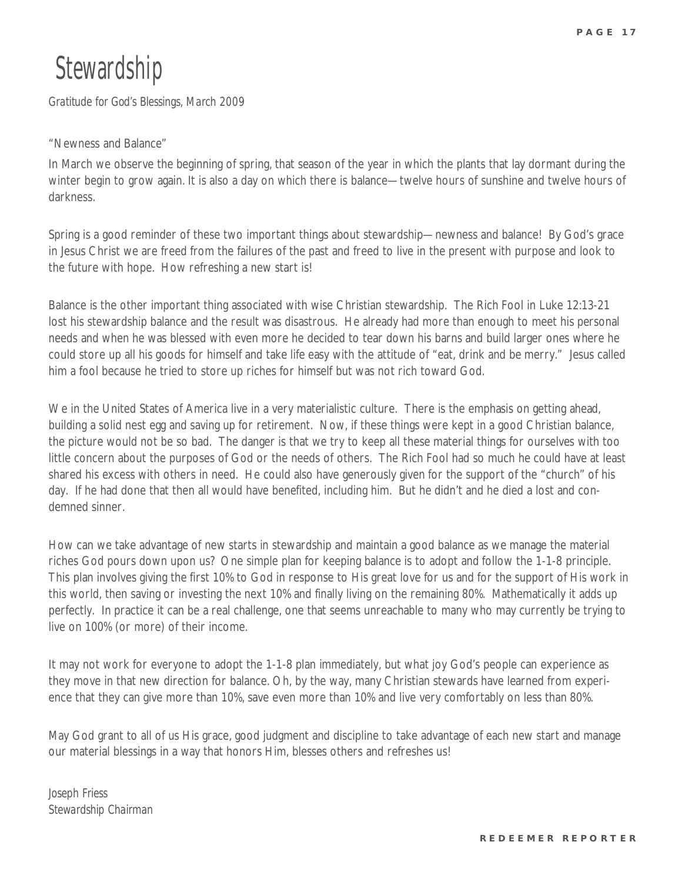### **Stewardship**

*Gratitude for God's Blessings, March 2009* 

#### "Newness and Balance"

In March we observe the beginning of spring, that season of the year in which the plants that lay dormant during the winter begin to grow again. It is also a day on which there is balance—twelve hours of sunshine and twelve hours of darkness.

Spring is a good reminder of these two important things about stewardship—newness and balance! By God's grace in Jesus Christ we are freed from the failures of the past and freed to live in the present with purpose and look to the future with hope. How refreshing a new start is!

Balance is the other important thing associated with wise Christian stewardship. The Rich Fool in Luke 12:13-21 lost his stewardship balance and the result was disastrous. He already had more than enough to meet his personal needs and when he was blessed with even more he decided to tear down his barns and build larger ones where he could store up all his goods for himself and take life easy with the attitude of "eat, drink and be merry." Jesus called him a fool because he tried to store up riches for himself but was not rich toward God.

We in the United States of America live in a very materialistic culture. There is the emphasis on getting ahead, building a solid nest egg and saving up for retirement. Now, if these things were kept in a good Christian balance, the picture would not be so bad. The danger is that we try to keep all these material things for ourselves with too little concern about the purposes of God or the needs of others. The Rich Fool had so much he could have at least shared his excess with others in need. He could also have generously given for the support of the "church" of his day. If he had done that then all would have benefited, including him. But he didn't and he died a lost and condemned sinner.

How can we take advantage of new starts in stewardship and maintain a good balance as we manage the material riches God pours down upon us? One simple plan for keeping balance is to adopt and follow the 1-1-8 principle. This plan involves giving the first 10% to God in response to His great love for us and for the support of His work in this world, then saving or investing the next 10% and finally living on the remaining 80%. Mathematically it adds up perfectly. In practice it can be a real challenge, one that seems unreachable to many who may currently be trying to live on 100% (or more) of their income.

It may not work for everyone to adopt the 1-1-8 plan immediately, but what joy God's people can experience as they move in that new direction for balance. Oh, by the way, many Christian stewards have learned from experience that they can give more than 10%, save even more than 10% and live very comfortably on less than 80%.

May God grant to all of us His grace, good judgment and discipline to take advantage of each new start and manage our material blessings in a way that honors Him, blesses others and refreshes us!

*Joseph Friess Stewardship Chairman*